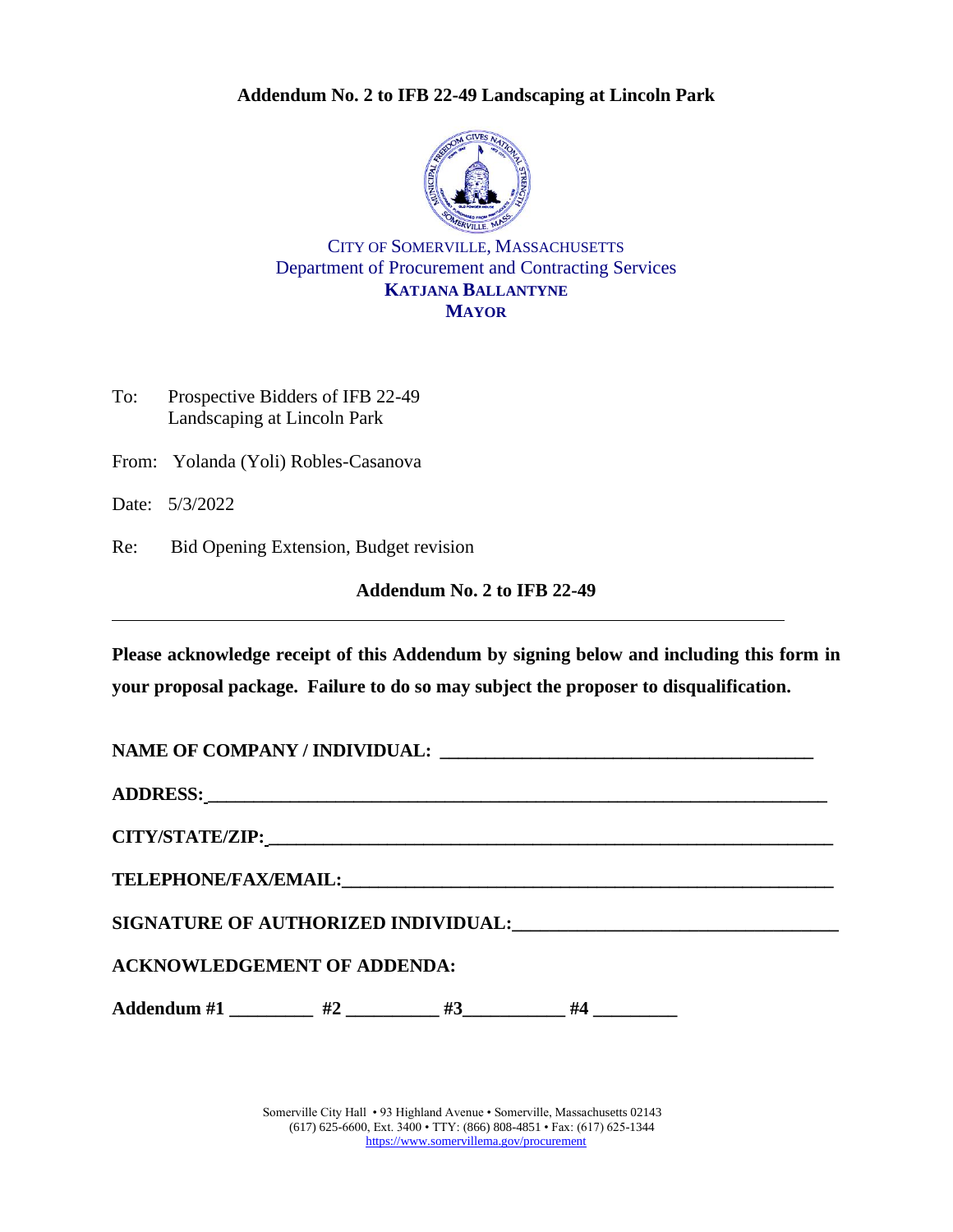### **Addendum No. 2 to IFB 22-49 Landscaping at Lincoln Park**



CITY OF SOMERVILLE, MASSACHUSETTS Department of Procurement and Contracting Services **KATJANA BALLANTYNE MAYOR**

To: Prospective Bidders of IFB 22-49 Landscaping at Lincoln Park

From: Yolanda (Yoli) Robles-Casanova

Date: 5/3/2022

Re: Bid Opening Extension, Budget revision

#### **Addendum No. 2 to IFB 22-49**

**Please acknowledge receipt of this Addendum by signing below and including this form in your proposal package. Failure to do so may subject the proposer to disqualification.**

| NAME OF COMPANY / INDIVIDUAL: University of the COMPANY of The Company of the Company of the Company of the Co                                                                                                                 |  |  |  |  |  |  |
|--------------------------------------------------------------------------------------------------------------------------------------------------------------------------------------------------------------------------------|--|--|--|--|--|--|
| ADDRESS: New York Contract the Contract of the Contract of the Contract of the Contract of the Contract of the Contract of the Contract of the Contract of the Contract of the Contract of the Contract of the Contract of the |  |  |  |  |  |  |
|                                                                                                                                                                                                                                |  |  |  |  |  |  |
|                                                                                                                                                                                                                                |  |  |  |  |  |  |
|                                                                                                                                                                                                                                |  |  |  |  |  |  |
| <b>ACKNOWLEDGEMENT OF ADDENDA:</b>                                                                                                                                                                                             |  |  |  |  |  |  |
| Addendum #1 $\qquad$ #2 $\qquad$ #3 $\qquad$ #4                                                                                                                                                                                |  |  |  |  |  |  |

Somerville City Hall • 93 Highland Avenue • Somerville, Massachusetts 02143 (617) 625-6600, Ext. 3400 • TTY: (866) 808-4851 • Fax: (617) 625-1344 <https://www.somervillema.gov/procurement>